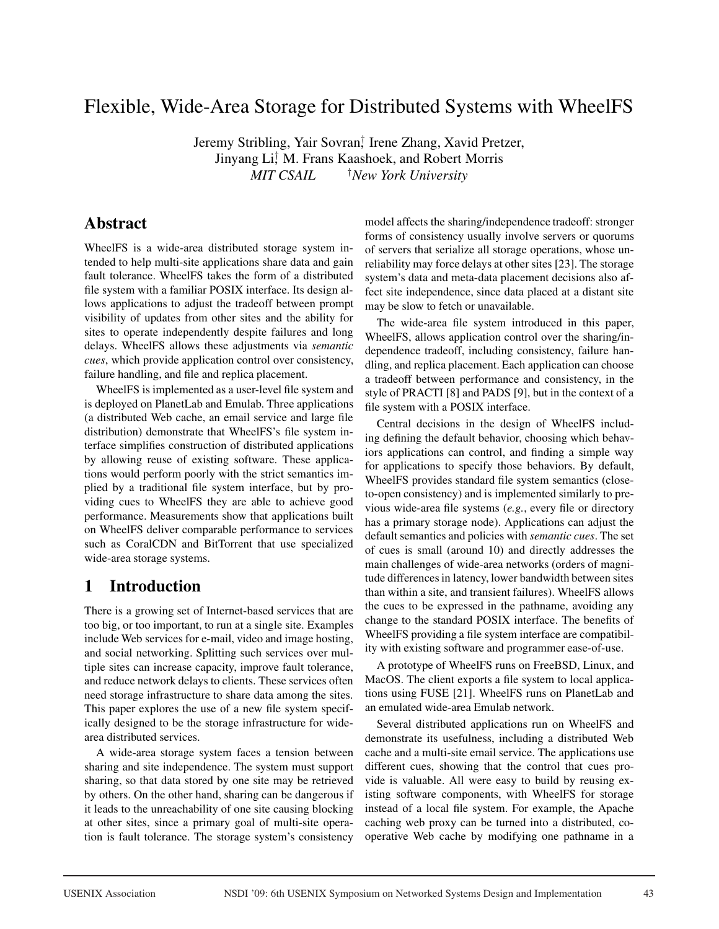# Flexible, Wide-Area Storage for Distributed Systems with WheelFS

Jeremy Stribling, Yair Sovran<sup>†</sup> Irene Zhang, Xavid Pretzer, Jinyang Li,† M. Frans Kaashoek, and Robert Morris  $MIT$  *CSAIL New York University*

# Abstract

WheelFS is a wide-area distributed storage system intended to help multi-site applications share data and gain fault tolerance. WheelFS takes the form of a distributed file system with a familiar POSIX interface. Its design allows applications to adjust the tradeoff between prompt visibility of updates from other sites and the ability for sites to operate independently despite failures and long delays. WheelFS allows these adjustments via *semantic cues*, which provide application control over consistency, failure handling, and file and replica placement.

WheelFS is implemented as a user-level file system and is deployed on PlanetLab and Emulab. Three applications (a distributed Web cache, an email service and large file distribution) demonstrate that WheelFS's file system interface simplifies construction of distributed applications by allowing reuse of existing software. These applications would perform poorly with the strict semantics implied by a traditional file system interface, but by providing cues to WheelFS they are able to achieve good performance. Measurements show that applications built on WheelFS deliver comparable performance to services such as CoralCDN and BitTorrent that use specialized wide-area storage systems.

# 1 Introduction

There is a growing set of Internet-based services that are too big, or too important, to run at a single site. Examples include Web services for e-mail, video and image hosting, and social networking. Splitting such services over multiple sites can increase capacity, improve fault tolerance, and reduce network delays to clients. These services often need storage infrastructure to share data among the sites. This paper explores the use of a new file system specifically designed to be the storage infrastructure for widearea distributed services.

A wide-area storage system faces a tension between sharing and site independence. The system must support sharing, so that data stored by one site may be retrieved by others. On the other hand, sharing can be dangerous if it leads to the unreachability of one site causing blocking at other sites, since a primary goal of multi-site operation is fault tolerance. The storage system's consistency

model affects the sharing/independence tradeoff: stronger forms of consistency usually involve servers or quorums of servers that serialize all storage operations, whose unreliability may force delays at other sites [23]. The storage system's data and meta-data placement decisions also affect site independence, since data placed at a distant site may be slow to fetch or unavailable.

The wide-area file system introduced in this paper, WheelFS, allows application control over the sharing/independence tradeoff, including consistency, failure handling, and replica placement. Each application can choose a tradeoff between performance and consistency, in the style of PRACTI [8] and PADS [9], but in the context of a file system with a POSIX interface.

Central decisions in the design of WheelFS including defining the default behavior, choosing which behaviors applications can control, and finding a simple way for applications to specify those behaviors. By default, WheelFS provides standard file system semantics (closeto-open consistency) and is implemented similarly to previous wide-area file systems (*e.g.*, every file or directory has a primary storage node). Applications can adjust the default semantics and policies with *semantic cues*. The set of cues is small (around 10) and directly addresses the main challenges of wide-area networks (orders of magnitude differences in latency, lower bandwidth between sites than within a site, and transient failures). WheelFS allows the cues to be expressed in the pathname, avoiding any change to the standard POSIX interface. The benefits of WheelFS providing a file system interface are compatibility with existing software and programmer ease-of-use.

A prototype of WheelFS runs on FreeBSD, Linux, and MacOS. The client exports a file system to local applications using FUSE [21]. WheelFS runs on PlanetLab and an emulated wide-area Emulab network.

Several distributed applications run on WheelFS and demonstrate its usefulness, including a distributed Web cache and a multi-site email service. The applications use different cues, showing that the control that cues provide is valuable. All were easy to build by reusing existing software components, with WheelFS for storage instead of a local file system. For example, the Apache caching web proxy can be turned into a distributed, cooperative Web cache by modifying one pathname in a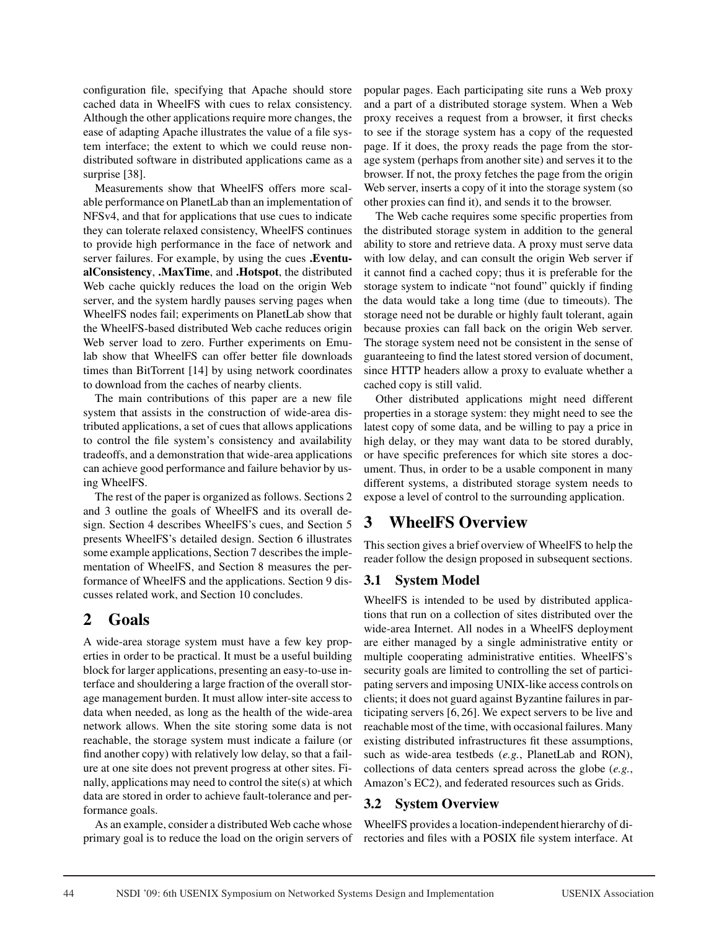configuration file, specifying that Apache should store cached data in WheelFS with cues to relax consistency. Although the other applications require more changes, the ease of adapting Apache illustrates the value of a file system interface; the extent to which we could reuse nondistributed software in distributed applications came as a surprise [38].

Measurements show that WheelFS offers more scalable performance on PlanetLab than an implementation of NFSv4, and that for applications that use cues to indicate they can tolerate relaxed consistency, WheelFS continues to provide high performance in the face of network and server failures. For example, by using the cues .EventualConsistency, .MaxTime, and .Hotspot, the distributed Web cache quickly reduces the load on the origin Web server, and the system hardly pauses serving pages when WheelFS nodes fail; experiments on PlanetLab show that the WheelFS-based distributed Web cache reduces origin Web server load to zero. Further experiments on Emulab show that WheelFS can offer better file downloads times than BitTorrent [14] by using network coordinates to download from the caches of nearby clients.

The main contributions of this paper are a new file system that assists in the construction of wide-area distributed applications, a set of cues that allows applications to control the file system's consistency and availability tradeoffs, and a demonstration that wide-area applications can achieve good performance and failure behavior by using WheelFS.

The rest of the paper is organized as follows. Sections 2 and 3 outline the goals of WheelFS and its overall design. Section 4 describes WheelFS's cues, and Section 5 presents WheelFS's detailed design. Section 6 illustrates some example applications, Section 7 describes the implementation of WheelFS, and Section 8 measures the performance of WheelFS and the applications. Section 9 discusses related work, and Section 10 concludes.

# 2 Goals

A wide-area storage system must have a few key properties in order to be practical. It must be a useful building block for larger applications, presenting an easy-to-use interface and shouldering a large fraction of the overall storage management burden. It must allow inter-site access to data when needed, as long as the health of the wide-area network allows. When the site storing some data is not reachable, the storage system must indicate a failure (or find another copy) with relatively low delay, so that a failure at one site does not prevent progress at other sites. Finally, applications may need to control the site(s) at which data are stored in order to achieve fault-tolerance and performance goals.

As an example, consider a distributed Web cache whose primary goal is to reduce the load on the origin servers of popular pages. Each participating site runs a Web proxy and a part of a distributed storage system. When a Web proxy receives a request from a browser, it first checks to see if the storage system has a copy of the requested page. If it does, the proxy reads the page from the storage system (perhaps from another site) and serves it to the browser. If not, the proxy fetches the page from the origin Web server, inserts a copy of it into the storage system (so other proxies can find it), and sends it to the browser.

The Web cache requires some specific properties from the distributed storage system in addition to the general ability to store and retrieve data. A proxy must serve data with low delay, and can consult the origin Web server if it cannot find a cached copy; thus it is preferable for the storage system to indicate "not found" quickly if finding the data would take a long time (due to timeouts). The storage need not be durable or highly fault tolerant, again because proxies can fall back on the origin Web server. The storage system need not be consistent in the sense of guaranteeing to find the latest stored version of document, since HTTP headers allow a proxy to evaluate whether a cached copy is still valid.

Other distributed applications might need different properties in a storage system: they might need to see the latest copy of some data, and be willing to pay a price in high delay, or they may want data to be stored durably, or have specific preferences for which site stores a document. Thus, in order to be a usable component in many different systems, a distributed storage system needs to expose a level of control to the surrounding application.

# 3 WheelFS Overview

This section gives a brief overview of WheelFS to help the reader follow the design proposed in subsequent sections.

## 3.1 System Model

WheelFS is intended to be used by distributed applications that run on a collection of sites distributed over the wide-area Internet. All nodes in a WheelFS deployment are either managed by a single administrative entity or multiple cooperating administrative entities. WheelFS's security goals are limited to controlling the set of participating servers and imposing UNIX-like access controls on clients; it does not guard against Byzantine failures in participating servers [6, 26]. We expect servers to be live and reachable most of the time, with occasional failures. Many existing distributed infrastructures fit these assumptions, such as wide-area testbeds (*e.g.*, PlanetLab and RON), collections of data centers spread across the globe (*e.g.*, Amazon's EC2), and federated resources such as Grids.

## 3.2 System Overview

WheelFS provides a location-independent hierarchy of directories and files with a POSIX file system interface. At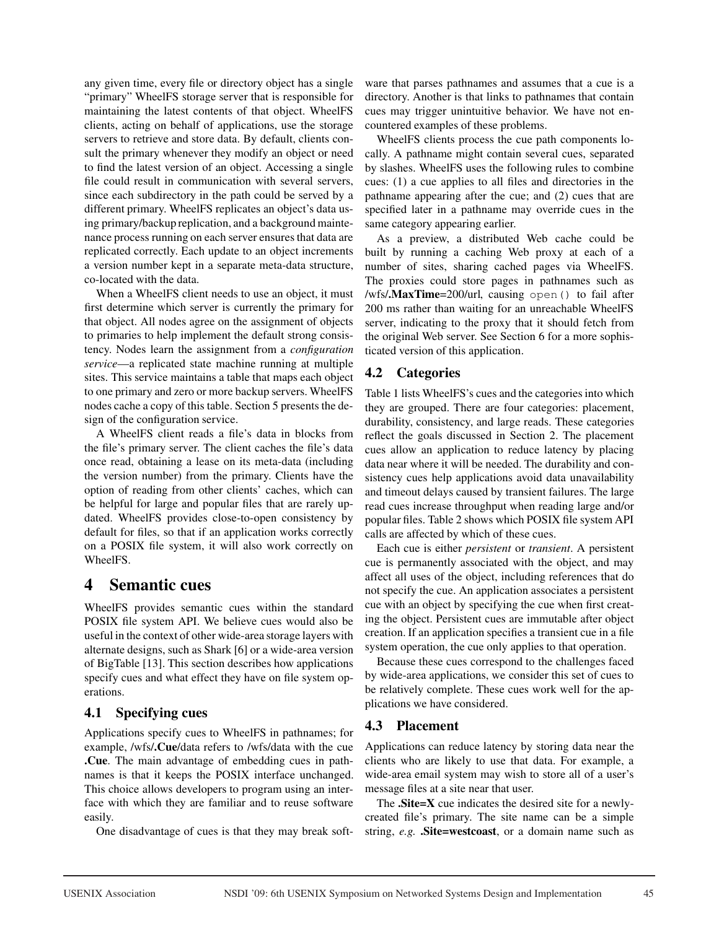any given time, every file or directory object has a single "primary" WheelFS storage server that is responsible for maintaining the latest contents of that object. WheelFS clients, acting on behalf of applications, use the storage servers to retrieve and store data. By default, clients consult the primary whenever they modify an object or need to find the latest version of an object. Accessing a single file could result in communication with several servers, since each subdirectory in the path could be served by a different primary. WheelFS replicates an object's data using primary/backup replication, and a background maintenance process running on each server ensures that data are replicated correctly. Each update to an object increments a version number kept in a separate meta-data structure, co-located with the data.

When a WheelFS client needs to use an object, it must first determine which server is currently the primary for that object. All nodes agree on the assignment of objects to primaries to help implement the default strong consistency. Nodes learn the assignment from a *configuration service*—a replicated state machine running at multiple sites. This service maintains a table that maps each object to one primary and zero or more backup servers. WheelFS nodes cache a copy of this table. Section 5 presents the design of the configuration service.

A WheelFS client reads a file's data in blocks from the file's primary server. The client caches the file's data once read, obtaining a lease on its meta-data (including the version number) from the primary. Clients have the option of reading from other clients' caches, which can be helpful for large and popular files that are rarely updated. WheelFS provides close-to-open consistency by default for files, so that if an application works correctly on a POSIX file system, it will also work correctly on WheelFS.

## 4 Semantic cues

WheelFS provides semantic cues within the standard POSIX file system API. We believe cues would also be useful in the context of other wide-area storage layers with alternate designs, such as Shark [6] or a wide-area version of BigTable [13]. This section describes how applications specify cues and what effect they have on file system operations.

## 4.1 Specifying cues

Applications specify cues to WheelFS in pathnames; for example, /wfs/.Cue/data refers to /wfs/data with the cue .Cue. The main advantage of embedding cues in pathnames is that it keeps the POSIX interface unchanged. This choice allows developers to program using an interface with which they are familiar and to reuse software easily.

One disadvantage of cues is that they may break soft-

ware that parses pathnames and assumes that a cue is a directory. Another is that links to pathnames that contain cues may trigger unintuitive behavior. We have not encountered examples of these problems.

WheelFS clients process the cue path components locally. A pathname might contain several cues, separated by slashes. WheelFS uses the following rules to combine cues: (1) a cue applies to all files and directories in the pathname appearing after the cue; and (2) cues that are specified later in a pathname may override cues in the same category appearing earlier.

As a preview, a distributed Web cache could be built by running a caching Web proxy at each of a number of sites, sharing cached pages via WheelFS. The proxies could store pages in pathnames such as /wfs/.MaxTime=200/url, causing open() to fail after 200 ms rather than waiting for an unreachable WheelFS server, indicating to the proxy that it should fetch from the original Web server. See Section 6 for a more sophisticated version of this application.

## 4.2 Categories

Table 1 lists WheelFS's cues and the categories into which they are grouped. There are four categories: placement, durability, consistency, and large reads. These categories reflect the goals discussed in Section 2. The placement cues allow an application to reduce latency by placing data near where it will be needed. The durability and consistency cues help applications avoid data unavailability and timeout delays caused by transient failures. The large read cues increase throughput when reading large and/or popular files. Table 2 shows which POSIX file system API calls are affected by which of these cues.

Each cue is either *persistent* or *transient*. A persistent cue is permanently associated with the object, and may affect all uses of the object, including references that do not specify the cue. An application associates a persistent cue with an object by specifying the cue when first creating the object. Persistent cues are immutable after object creation. If an application specifies a transient cue in a file system operation, the cue only applies to that operation.

Because these cues correspond to the challenges faced by wide-area applications, we consider this set of cues to be relatively complete. These cues work well for the applications we have considered.

## 4.3 Placement

Applications can reduce latency by storing data near the clients who are likely to use that data. For example, a wide-area email system may wish to store all of a user's message files at a site near that user.

The .Site=X cue indicates the desired site for a newlycreated file's primary. The site name can be a simple string, *e.g.* Site=westcoast, or a domain name such as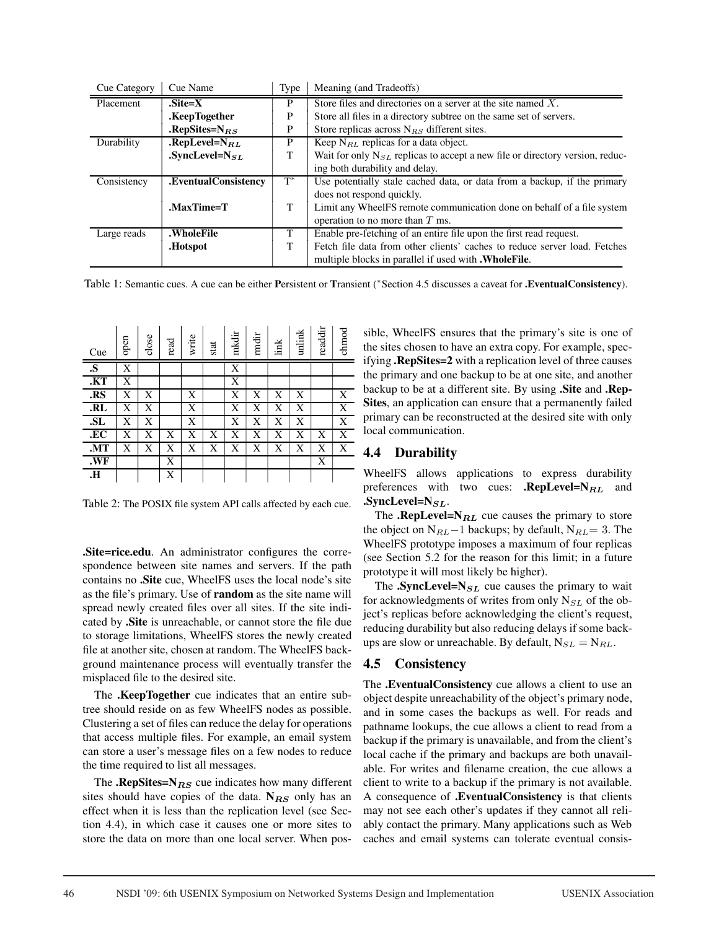| Cue Category | Cue Name             | Type  | Meaning (and Tradeoffs)                                                           |
|--------------|----------------------|-------|-----------------------------------------------------------------------------------|
| Placement    | $.Site=X$            | P     | Store files and directories on a server at the site named $X$ .                   |
|              | .KeepTogether        | P     | Store all files in a directory subtree on the same set of servers.                |
|              | .RepSites= $N_{RS}$  | P     | Store replicas across $N_{RS}$ different sites.                                   |
| Durability   | .RepLevel= $N_{RL}$  | P     | Keep $N_{RL}$ replicas for a data object.                                         |
|              | .SyncLevel= $N_{SL}$ | T     | Wait for only $N_{SL}$ replicas to accept a new file or directory version, reduc- |
|              |                      |       | ing both durability and delay.                                                    |
| Consistency  | .EventualConsistency | $T^*$ | Use potentially stale cached data, or data from a backup, if the primary          |
|              |                      |       | does not respond quickly.                                                         |
|              | .MaxTime=T           | T     | Limit any WheelFS remote communication done on behalf of a file system            |
|              |                      |       | operation to no more than $T$ ms.                                                 |
| Large reads  | .WholeFile           | T     | Enable pre-fetching of an entire file upon the first read request.                |
|              | .Hotspot             | T     | Fetch file data from other clients' caches to reduce server load. Fetches         |
|              |                      |       | multiple blocks in parallel if used with <b>. Whole File</b> .                    |

Table 1: Semantic cues. A cue can be either Persistent or Transient (\* Section 4.5 discusses a caveat for .**EventualConsistency**).

| Cue                     | open | close | read | write | stat | mkdir | mdir | link | unlink | readdir | chmod |
|-------------------------|------|-------|------|-------|------|-------|------|------|--------|---------|-------|
| $\overline{\mathbf{s}}$ | X    |       |      |       |      | X     |      |      |        |         |       |
| .KT                     | X    |       |      |       |      | X     |      |      |        |         |       |
| .RS                     | X    | X     |      | X     |      | X     | X    | X    | X      |         | X     |
| R <sub>L</sub>          | X    | X     |      | X     |      | X     | X    | X    | X      |         | X     |
| SL                      | X    | X     |      | X     |      | X     | X    | X    | X      |         | X     |
| .EC                     | X    | X     | X    | X     | Х    | X     | X    | X    | X      | X       | X     |
| .MT                     | X    | X     | X    | X     | X    | X     | X    | X    | X      | X       | X     |
| .WF                     |      |       | X    |       |      |       |      |      |        | X       |       |
| Н.                      |      |       | X    |       |      |       |      |      |        |         |       |

Table 2: The POSIX file system API calls affected by each cue.

.Site=rice.edu. An administrator configures the correspondence between site names and servers. If the path contains no .Site cue, WheelFS uses the local node's site as the file's primary. Use of random as the site name will spread newly created files over all sites. If the site indicated by .Site is unreachable, or cannot store the file due to storage limitations, WheelFS stores the newly created file at another site, chosen at random. The WheelFS background maintenance process will eventually transfer the misplaced file to the desired site.

The .KeepTogether cue indicates that an entire subtree should reside on as few WheelFS nodes as possible. Clustering a set of files can reduce the delay for operations that access multiple files. For example, an email system can store a user's message files on a few nodes to reduce the time required to list all messages.

The **.RepSites=N** $_{RS}$  cue indicates how many different sites should have copies of the data.  $N_{RS}$  only has an effect when it is less than the replication level (see Section 4.4), in which case it causes one or more sites to store the data on more than one local server. When pos-

sible, WheelFS ensures that the primary's site is one of the sites chosen to have an extra copy. For example, specifying .RepSites=2 with a replication level of three causes the primary and one backup to be at one site, and another backup to be at a different site. By using .Site and .Rep-Sites, an application can ensure that a permanently failed primary can be reconstructed at the desired site with only local communication.

#### 4.4 Durability

WheelFS allows applications to express durability preferences with two cues: .RepLevel= $N_{RL}$  and .SyncLevel= $N_{SL}$ .

The .RepLevel= $N_{RL}$  cue causes the primary to store the object on  $N_{RL}-1$  backups; by default,  $N_{RL}= 3$ . The WheelFS prototype imposes a maximum of four replicas (see Section 5.2 for the reason for this limit; in a future prototype it will most likely be higher).

The .SyncLevel= $N_{SL}$  cue causes the primary to wait for acknowledgments of writes from only  $N_{SL}$  of the object's replicas before acknowledging the client's request, reducing durability but also reducing delays if some backups are slow or unreachable. By default,  $N_{SL} = N_{RL}$ .

#### 4.5 Consistency

The .EventualConsistency cue allows a client to use an object despite unreachability of the object's primary node, and in some cases the backups as well. For reads and pathname lookups, the cue allows a client to read from a backup if the primary is unavailable, and from the client's local cache if the primary and backups are both unavailable. For writes and filename creation, the cue allows a client to write to a backup if the primary is not available. A consequence of .EventualConsistency is that clients may not see each other's updates if they cannot all reliably contact the primary. Many applications such as Web caches and email systems can tolerate eventual consis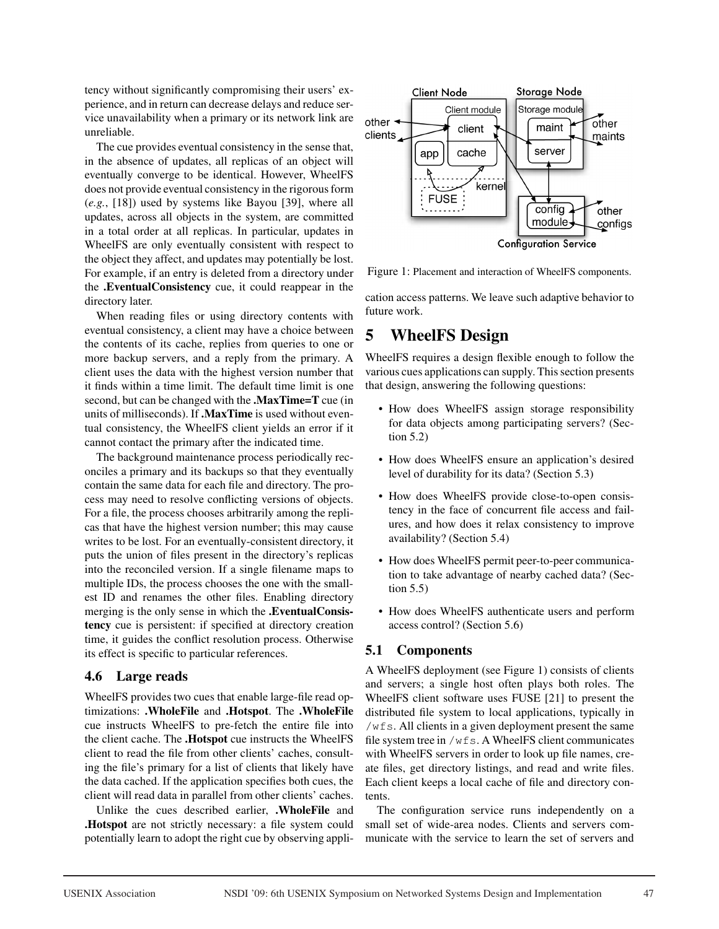tency without significantly compromising their users' experience, and in return can decrease delays and reduce service unavailability when a primary or its network link are unreliable.

The cue provides eventual consistency in the sense that, in the absence of updates, all replicas of an object will eventually converge to be identical. However, WheelFS does not provide eventual consistency in the rigorous form (*e.g.*, [18]) used by systems like Bayou [39], where all updates, across all objects in the system, are committed in a total order at all replicas. In particular, updates in WheelFS are only eventually consistent with respect to the object they affect, and updates may potentially be lost. For example, if an entry is deleted from a directory under the .EventualConsistency cue, it could reappear in the directory later.

When reading files or using directory contents with eventual consistency, a client may have a choice between the contents of its cache, replies from queries to one or more backup servers, and a reply from the primary. A client uses the data with the highest version number that it finds within a time limit. The default time limit is one second, but can be changed with the .MaxTime=T cue (in units of milliseconds). If .MaxTime is used without eventual consistency, the WheelFS client yields an error if it cannot contact the primary after the indicated time.

The background maintenance process periodically reconciles a primary and its backups so that they eventually contain the same data for each file and directory. The process may need to resolve conflicting versions of objects. For a file, the process chooses arbitrarily among the replicas that have the highest version number; this may cause writes to be lost. For an eventually-consistent directory, it puts the union of files present in the directory's replicas into the reconciled version. If a single filename maps to multiple IDs, the process chooses the one with the smallest ID and renames the other files. Enabling directory merging is the only sense in which the .EventualConsistency cue is persistent: if specified at directory creation time, it guides the conflict resolution process. Otherwise its effect is specific to particular references.

### 4.6 Large reads

WheelFS provides two cues that enable large-file read optimizations: .WholeFile and .Hotspot. The .WholeFile cue instructs WheelFS to pre-fetch the entire file into the client cache. The .Hotspot cue instructs the WheelFS client to read the file from other clients' caches, consulting the file's primary for a list of clients that likely have the data cached. If the application specifies both cues, the client will read data in parallel from other clients' caches.

Unlike the cues described earlier, .WholeFile and .Hotspot are not strictly necessary: a file system could potentially learn to adopt the right cue by observing appli-



Figure 1: Placement and interaction of WheelFS components.

cation access patterns. We leave such adaptive behavior to future work.

# 5 WheelFS Design

WheelFS requires a design flexible enough to follow the various cues applications can supply. This section presents that design, answering the following questions:

- How does WheelFS assign storage responsibility for data objects among participating servers? (Section 5.2)
- How does WheelFS ensure an application's desired level of durability for its data? (Section 5.3)
- How does WheelFS provide close-to-open consistency in the face of concurrent file access and failures, and how does it relax consistency to improve availability? (Section 5.4)
- How does WheelFS permit peer-to-peer communication to take advantage of nearby cached data? (Section 5.5)
- How does WheelFS authenticate users and perform access control? (Section 5.6)

## 5.1 Components

A WheelFS deployment (see Figure 1) consists of clients and servers; a single host often plays both roles. The WheelFS client software uses FUSE [21] to present the distributed file system to local applications, typically in /wfs. All clients in a given deployment present the same file system tree in /wfs. A WheelFS client communicates with WheelFS servers in order to look up file names, create files, get directory listings, and read and write files. Each client keeps a local cache of file and directory contents.

The configuration service runs independently on a small set of wide-area nodes. Clients and servers communicate with the service to learn the set of servers and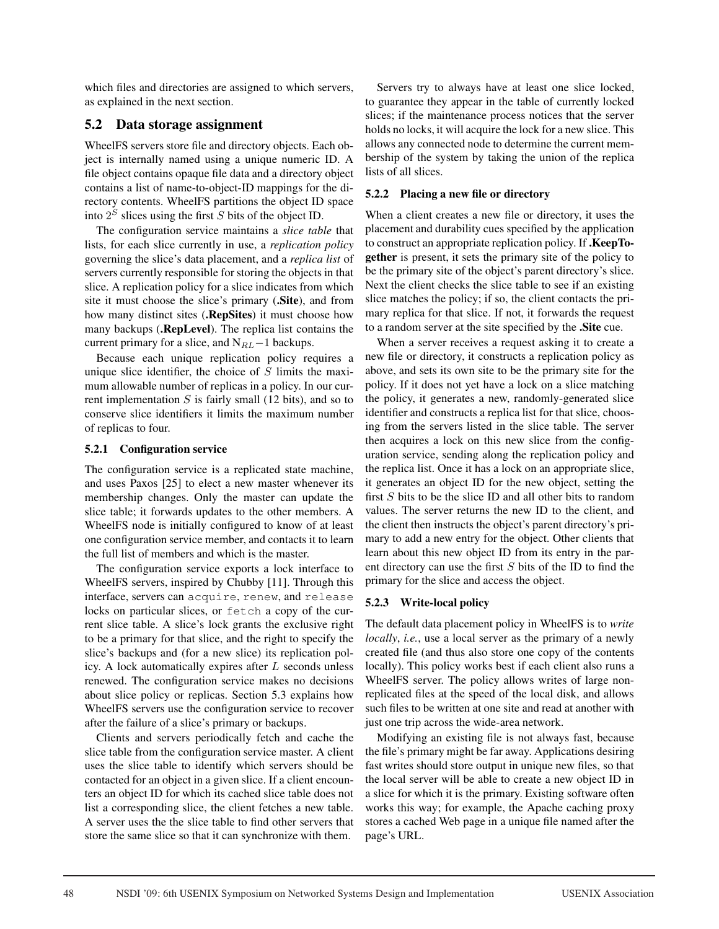which files and directories are assigned to which servers, as explained in the next section.

#### 5.2 Data storage assignment

WheelFS servers store file and directory objects. Each object is internally named using a unique numeric ID. A file object contains opaque file data and a directory object contains a list of name-to-object-ID mappings for the directory contents. WheelFS partitions the object ID space into  $2<sup>S</sup>$  slices using the first S bits of the object ID.

The configuration service maintains a *slice table* that lists, for each slice currently in use, a *replication policy* governing the slice's data placement, and a *replica list* of servers currently responsible for storing the objects in that slice. A replication policy for a slice indicates from which site it must choose the slice's primary (.Site), and from how many distinct sites (.RepSites) it must choose how many backups (.RepLevel). The replica list contains the current primary for a slice, and  $N_{RL}-1$  backups.

Because each unique replication policy requires a unique slice identifier, the choice of  $S$  limits the maximum allowable number of replicas in a policy. In our current implementation  $S$  is fairly small (12 bits), and so to conserve slice identifiers it limits the maximum number of replicas to four.

#### 5.2.1 Configuration service

The configuration service is a replicated state machine, and uses Paxos [25] to elect a new master whenever its membership changes. Only the master can update the slice table; it forwards updates to the other members. A WheelFS node is initially configured to know of at least one configuration service member, and contacts it to learn the full list of members and which is the master.

The configuration service exports a lock interface to WheelFS servers, inspired by Chubby [11]. Through this interface, servers can acquire, renew, and release locks on particular slices, or fetch a copy of the current slice table. A slice's lock grants the exclusive right to be a primary for that slice, and the right to specify the slice's backups and (for a new slice) its replication policy. A lock automatically expires after  $L$  seconds unless renewed. The configuration service makes no decisions about slice policy or replicas. Section 5.3 explains how WheelFS servers use the configuration service to recover after the failure of a slice's primary or backups.

Clients and servers periodically fetch and cache the slice table from the configuration service master. A client uses the slice table to identify which servers should be contacted for an object in a given slice. If a client encounters an object ID for which its cached slice table does not list a corresponding slice, the client fetches a new table. A server uses the the slice table to find other servers that store the same slice so that it can synchronize with them.

Servers try to always have at least one slice locked, to guarantee they appear in the table of currently locked slices; if the maintenance process notices that the server holds no locks, it will acquire the lock for a new slice. This allows any connected node to determine the current membership of the system by taking the union of the replica lists of all slices.

#### 5.2.2 Placing a new file or directory

When a client creates a new file or directory, it uses the placement and durability cues specified by the application to construct an appropriate replication policy. If .KeepTogether is present, it sets the primary site of the policy to be the primary site of the object's parent directory's slice. Next the client checks the slice table to see if an existing slice matches the policy; if so, the client contacts the primary replica for that slice. If not, it forwards the request to a random server at the site specified by the .Site cue.

When a server receives a request asking it to create a new file or directory, it constructs a replication policy as above, and sets its own site to be the primary site for the policy. If it does not yet have a lock on a slice matching the policy, it generates a new, randomly-generated slice identifier and constructs a replica list for that slice, choosing from the servers listed in the slice table. The server then acquires a lock on this new slice from the configuration service, sending along the replication policy and the replica list. Once it has a lock on an appropriate slice, it generates an object ID for the new object, setting the first S bits to be the slice ID and all other bits to random values. The server returns the new ID to the client, and the client then instructs the object's parent directory's primary to add a new entry for the object. Other clients that learn about this new object ID from its entry in the parent directory can use the first  $S$  bits of the ID to find the primary for the slice and access the object.

#### 5.2.3 Write-local policy

The default data placement policy in WheelFS is to *write locally*, *i.e.*, use a local server as the primary of a newly created file (and thus also store one copy of the contents locally). This policy works best if each client also runs a WheelFS server. The policy allows writes of large nonreplicated files at the speed of the local disk, and allows such files to be written at one site and read at another with just one trip across the wide-area network.

Modifying an existing file is not always fast, because the file's primary might be far away. Applications desiring fast writes should store output in unique new files, so that the local server will be able to create a new object ID in a slice for which it is the primary. Existing software often works this way; for example, the Apache caching proxy stores a cached Web page in a unique file named after the page's URL.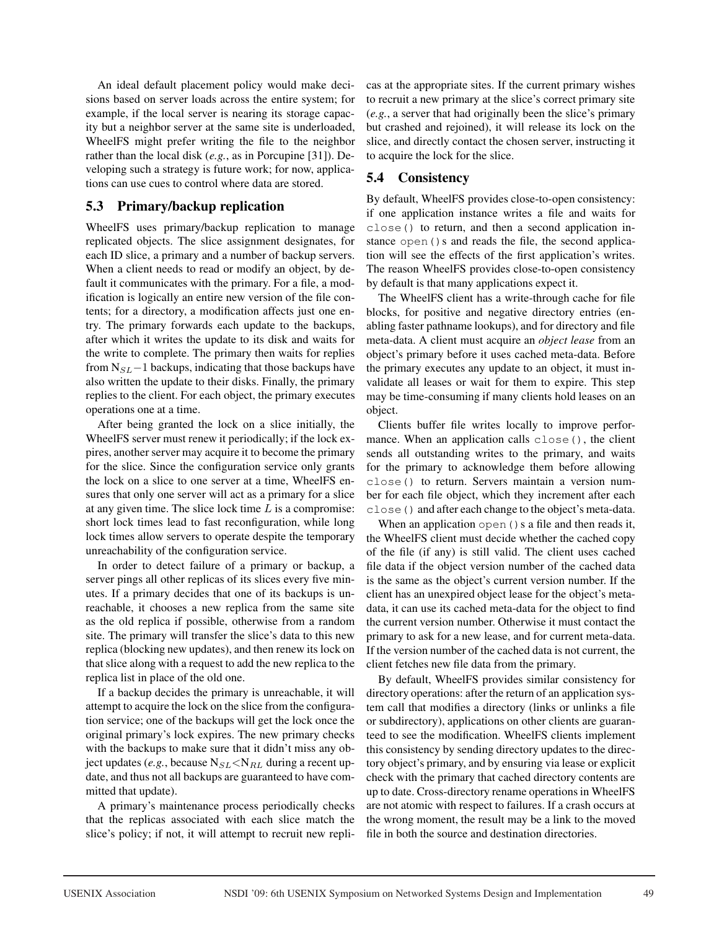An ideal default placement policy would make decisions based on server loads across the entire system; for example, if the local server is nearing its storage capacity but a neighbor server at the same site is underloaded, WheelFS might prefer writing the file to the neighbor rather than the local disk (*e.g.*, as in Porcupine [31]). Developing such a strategy is future work; for now, applications can use cues to control where data are stored.

### 5.3 Primary/backup replication

WheelFS uses primary/backup replication to manage replicated objects. The slice assignment designates, for each ID slice, a primary and a number of backup servers. When a client needs to read or modify an object, by default it communicates with the primary. For a file, a modification is logically an entire new version of the file contents; for a directory, a modification affects just one entry. The primary forwards each update to the backups, after which it writes the update to its disk and waits for the write to complete. The primary then waits for replies from  $N_{SL}$ −1 backups, indicating that those backups have also written the update to their disks. Finally, the primary replies to the client. For each object, the primary executes operations one at a time.

After being granted the lock on a slice initially, the WheelFS server must renew it periodically; if the lock expires, another server may acquire it to become the primary for the slice. Since the configuration service only grants the lock on a slice to one server at a time, WheelFS ensures that only one server will act as a primary for a slice at any given time. The slice lock time  $L$  is a compromise: short lock times lead to fast reconfiguration, while long lock times allow servers to operate despite the temporary unreachability of the configuration service.

In order to detect failure of a primary or backup, a server pings all other replicas of its slices every five minutes. If a primary decides that one of its backups is unreachable, it chooses a new replica from the same site as the old replica if possible, otherwise from a random site. The primary will transfer the slice's data to this new replica (blocking new updates), and then renew its lock on that slice along with a request to add the new replica to the replica list in place of the old one.

If a backup decides the primary is unreachable, it will attempt to acquire the lock on the slice from the configuration service; one of the backups will get the lock once the original primary's lock expires. The new primary checks with the backups to make sure that it didn't miss any object updates (*e.g.*, because  $N_{SL} < N_{RL}$  during a recent update, and thus not all backups are guaranteed to have committed that update).

A primary's maintenance process periodically checks that the replicas associated with each slice match the slice's policy; if not, it will attempt to recruit new replicas at the appropriate sites. If the current primary wishes to recruit a new primary at the slice's correct primary site (*e.g.*, a server that had originally been the slice's primary but crashed and rejoined), it will release its lock on the slice, and directly contact the chosen server, instructing it to acquire the lock for the slice.

## 5.4 Consistency

By default, WheelFS provides close-to-open consistency: if one application instance writes a file and waits for close() to return, and then a second application instance open()s and reads the file, the second application will see the effects of the first application's writes. The reason WheelFS provides close-to-open consistency by default is that many applications expect it.

The WheelFS client has a write-through cache for file blocks, for positive and negative directory entries (enabling faster pathname lookups), and for directory and file meta-data. A client must acquire an *object lease* from an object's primary before it uses cached meta-data. Before the primary executes any update to an object, it must invalidate all leases or wait for them to expire. This step may be time-consuming if many clients hold leases on an object.

Clients buffer file writes locally to improve performance. When an application calls close(), the client sends all outstanding writes to the primary, and waits for the primary to acknowledge them before allowing close() to return. Servers maintain a version number for each file object, which they increment after each close() and after each change to the object's meta-data.

When an application open () s a file and then reads it, the WheelFS client must decide whether the cached copy of the file (if any) is still valid. The client uses cached file data if the object version number of the cached data is the same as the object's current version number. If the client has an unexpired object lease for the object's metadata, it can use its cached meta-data for the object to find the current version number. Otherwise it must contact the primary to ask for a new lease, and for current meta-data. If the version number of the cached data is not current, the client fetches new file data from the primary.

By default, WheelFS provides similar consistency for directory operations: after the return of an application system call that modifies a directory (links or unlinks a file or subdirectory), applications on other clients are guaranteed to see the modification. WheelFS clients implement this consistency by sending directory updates to the directory object's primary, and by ensuring via lease or explicit check with the primary that cached directory contents are up to date. Cross-directory rename operations in WheelFS are not atomic with respect to failures. If a crash occurs at the wrong moment, the result may be a link to the moved file in both the source and destination directories.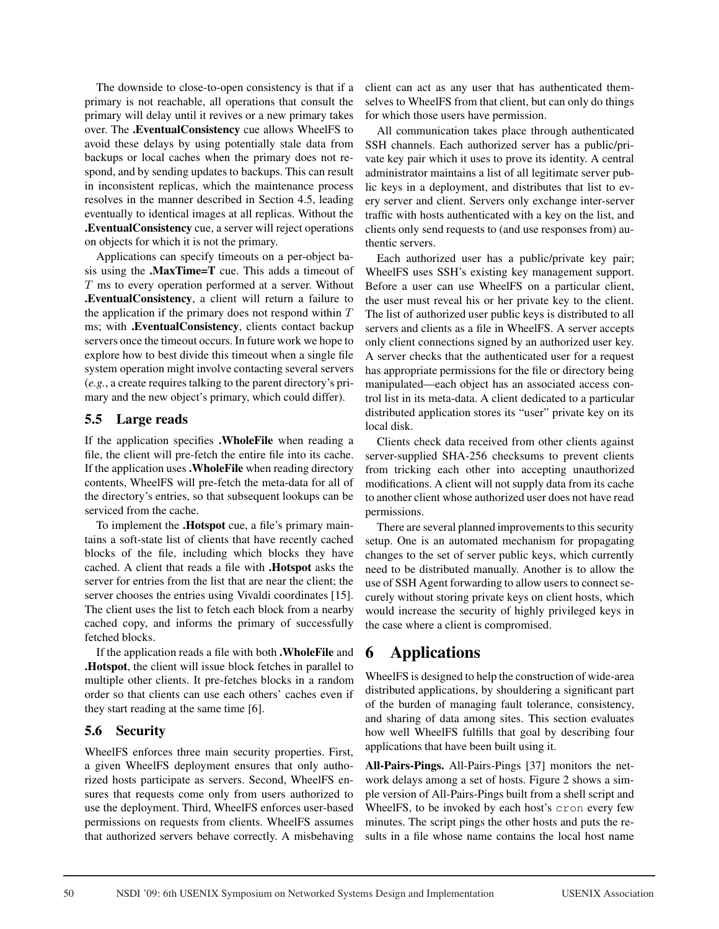The downside to close-to-open consistency is that if a primary is not reachable, all operations that consult the primary will delay until it revives or a new primary takes over. The .EventualConsistency cue allows WheelFS to avoid these delays by using potentially stale data from backups or local caches when the primary does not respond, and by sending updates to backups. This can result in inconsistent replicas, which the maintenance process resolves in the manner described in Section 4.5, leading eventually to identical images at all replicas. Without the .EventualConsistency cue, a server will reject operations on objects for which it is not the primary.

Applications can specify timeouts on a per-object basis using the .MaxTime=T cue. This adds a timeout of T ms to every operation performed at a server. Without .EventualConsistency, a client will return a failure to the application if the primary does not respond within  $T$ ms; with .EventualConsistency, clients contact backup servers once the timeout occurs. In future work we hope to explore how to best divide this timeout when a single file system operation might involve contacting several servers (*e.g.*, a create requires talking to the parent directory's primary and the new object's primary, which could differ).

### 5.5 Large reads

If the application specifies .WholeFile when reading a file, the client will pre-fetch the entire file into its cache. If the application uses .WholeFile when reading directory contents, WheelFS will pre-fetch the meta-data for all of the directory's entries, so that subsequent lookups can be serviced from the cache.

To implement the .Hotspot cue, a file's primary maintains a soft-state list of clients that have recently cached blocks of the file, including which blocks they have cached. A client that reads a file with .Hotspot asks the server for entries from the list that are near the client; the server chooses the entries using Vivaldi coordinates [15]. The client uses the list to fetch each block from a nearby cached copy, and informs the primary of successfully fetched blocks.

If the application reads a file with both .WholeFile and .Hotspot, the client will issue block fetches in parallel to multiple other clients. It pre-fetches blocks in a random order so that clients can use each others' caches even if they start reading at the same time [6].

## 5.6 Security

WheelFS enforces three main security properties. First, a given WheelFS deployment ensures that only authorized hosts participate as servers. Second, WheelFS ensures that requests come only from users authorized to use the deployment. Third, WheelFS enforces user-based permissions on requests from clients. WheelFS assumes that authorized servers behave correctly. A misbehaving client can act as any user that has authenticated themselves to WheelFS from that client, but can only do things for which those users have permission.

All communication takes place through authenticated SSH channels. Each authorized server has a public/private key pair which it uses to prove its identity. A central administrator maintains a list of all legitimate server public keys in a deployment, and distributes that list to every server and client. Servers only exchange inter-server traffic with hosts authenticated with a key on the list, and clients only send requests to (and use responses from) authentic servers.

Each authorized user has a public/private key pair; WheelFS uses SSH's existing key management support. Before a user can use WheelFS on a particular client, the user must reveal his or her private key to the client. The list of authorized user public keys is distributed to all servers and clients as a file in WheelFS. A server accepts only client connections signed by an authorized user key. A server checks that the authenticated user for a request has appropriate permissions for the file or directory being manipulated—each object has an associated access control list in its meta-data. A client dedicated to a particular distributed application stores its "user" private key on its local disk.

Clients check data received from other clients against server-supplied SHA-256 checksums to prevent clients from tricking each other into accepting unauthorized modifications. A client will not supply data from its cache to another client whose authorized user does not have read permissions.

There are several planned improvements to this security setup. One is an automated mechanism for propagating changes to the set of server public keys, which currently need to be distributed manually. Another is to allow the use of SSH Agent forwarding to allow users to connect securely without storing private keys on client hosts, which would increase the security of highly privileged keys in the case where a client is compromised.

# 6 Applications

WheelFS is designed to help the construction of wide-area distributed applications, by shouldering a significant part of the burden of managing fault tolerance, consistency, and sharing of data among sites. This section evaluates how well WheelFS fulfills that goal by describing four applications that have been built using it.

All-Pairs-Pings. All-Pairs-Pings [37] monitors the network delays among a set of hosts. Figure 2 shows a simple version of All-Pairs-Pings built from a shell script and WheelFS, to be invoked by each host's cron every few minutes. The script pings the other hosts and puts the results in a file whose name contains the local host name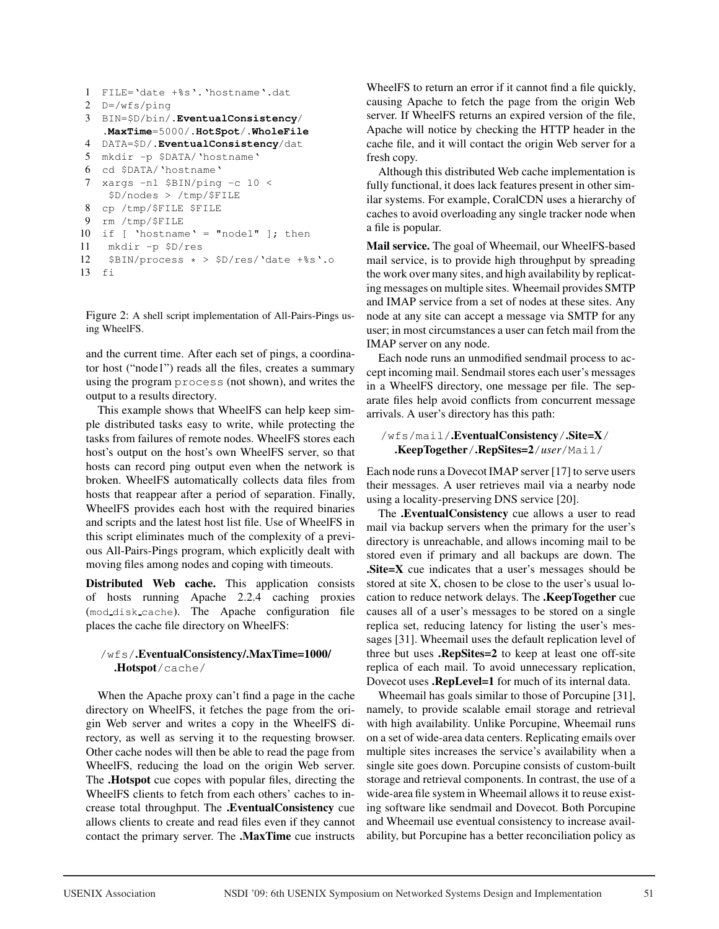```
1 FILE='date +%s'.'hostname'.dat
2 D=/wfs/ping
3 BIN=$D/bin/.EventualConsistency/
   .MaxTime=5000/.HotSpot/.WholeFile
4 DATA=$D/.EventualConsistency/dat
5 mkdir -p $DATA/'hostname'
6 cd $DATA/'hostname'
7 xargs -n1 $BIN/ping -c 10 <
    $D/nodes > /tmp/$FILE
8 cp /tmp/$FILE $FILE
9 rm /tmp/$FILE
10 if [ 'hostname' = "node1" ]; then
11 mkdir -p $D/res
12 $BIN/process * > $D/res/Value + $s'.o13 fi
```
Figure 2: A shell script implementation of All-Pairs-Pings using WheelFS.

and the current time. After each set of pings, a coordinator host ("node1") reads all the files, creates a summary using the program process (not shown), and writes the output to a results directory.

This example shows that WheelFS can help keep simple distributed tasks easy to write, while protecting the tasks from failures of remote nodes. WheelFS stores each host's output on the host's own WheelFS server, so that hosts can record ping output even when the network is broken. WheelFS automatically collects data files from hosts that reappear after a period of separation. Finally, WheelFS provides each host with the required binaries and scripts and the latest host list file. Use of WheelFS in this script eliminates much of the complexity of a previous All-Pairs-Pings program, which explicitly dealt with moving files among nodes and coping with timeouts.

Distributed Web cache. This application consists of hosts running Apache 2.2.4 caching proxies (mod disk cache). The Apache configuration file places the cache file directory on WheelFS:

#### /wfs/.EventualConsistency/.MaxTime=1000/ .Hotspot/cache/

When the Apache proxy can't find a page in the cache directory on WheelFS, it fetches the page from the origin Web server and writes a copy in the WheelFS directory, as well as serving it to the requesting browser. Other cache nodes will then be able to read the page from WheelFS, reducing the load on the origin Web server. The .Hotspot cue copes with popular files, directing the WheelFS clients to fetch from each others' caches to increase total throughput. The .EventualConsistency cue allows clients to create and read files even if they cannot contact the primary server. The .MaxTime cue instructs

WheelFS to return an error if it cannot find a file quickly, causing Apache to fetch the page from the origin Web server. If WheelFS returns an expired version of the file, Apache will notice by checking the HTTP header in the cache file, and it will contact the origin Web server for a fresh copy.

Although this distributed Web cache implementation is fully functional, it does lack features present in other similar systems. For example, CoralCDN uses a hierarchy of caches to avoid overloading any single tracker node when a file is popular.

Mail service. The goal of Wheemail, our WheelFS-based mail service, is to provide high throughput by spreading the work over many sites, and high availability by replicating messages on multiple sites. Wheemail provides SMTP and IMAP service from a set of nodes at these sites. Any node at any site can accept a message via SMTP for any user; in most circumstances a user can fetch mail from the IMAP server on any node.

Each node runs an unmodified sendmail process to accept incoming mail. Sendmail stores each user's messages in a WheelFS directory, one message per file. The separate files help avoid conflicts from concurrent message arrivals. A user's directory has this path:

#### /wfs/mail/.EventualConsistency/.Site=X/ .KeepTogether/.RepSites=2/*user*/Mail/

Each node runs a Dovecot IMAP server [17] to serve users their messages. A user retrieves mail via a nearby node using a locality-preserving DNS service [20].

The .EventualConsistency cue allows a user to read mail via backup servers when the primary for the user's directory is unreachable, and allows incoming mail to be stored even if primary and all backups are down. The .Site=X cue indicates that a user's messages should be stored at site X, chosen to be close to the user's usual location to reduce network delays. The .KeepTogether cue causes all of a user's messages to be stored on a single replica set, reducing latency for listing the user's messages [31]. Wheemail uses the default replication level of three but uses .RepSites=2 to keep at least one off-site replica of each mail. To avoid unnecessary replication, Dovecot uses .RepLevel=1 for much of its internal data.

Wheemail has goals similar to those of Porcupine [31], namely, to provide scalable email storage and retrieval with high availability. Unlike Porcupine, Wheemail runs on a set of wide-area data centers. Replicating emails over multiple sites increases the service's availability when a single site goes down. Porcupine consists of custom-built storage and retrieval components. In contrast, the use of a wide-area file system in Wheemail allows it to reuse existing software like sendmail and Dovecot. Both Porcupine and Wheemail use eventual consistency to increase availability, but Porcupine has a better reconciliation policy as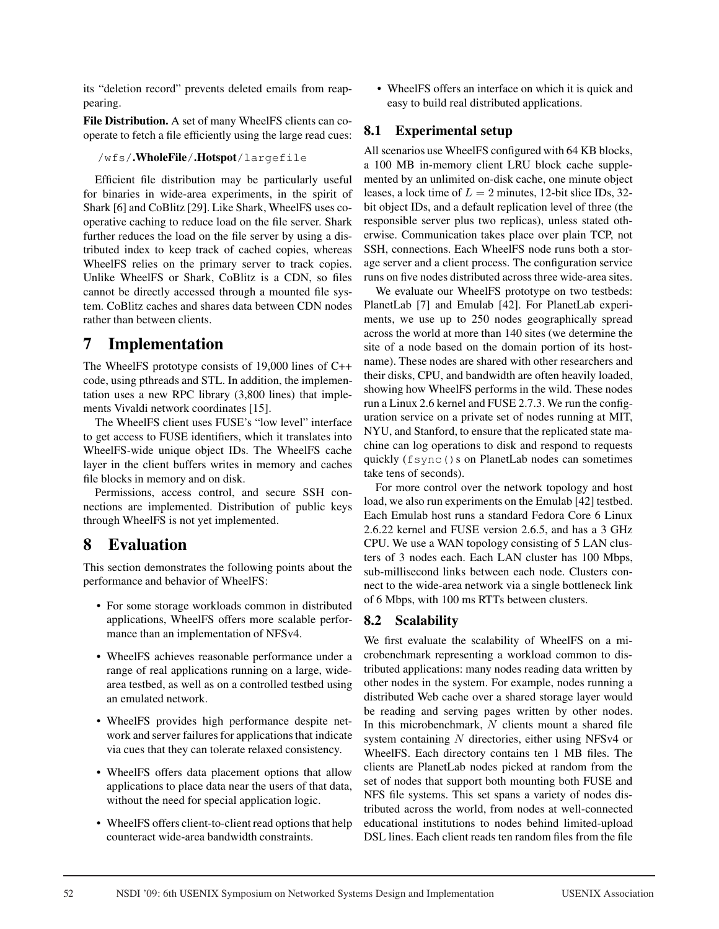its "deletion record" prevents deleted emails from reappearing.

File Distribution. A set of many WheelFS clients can cooperate to fetch a file efficiently using the large read cues:

#### /wfs/.WholeFile/.Hotspot/largefile

Efficient file distribution may be particularly useful for binaries in wide-area experiments, in the spirit of Shark [6] and CoBlitz [29]. Like Shark, WheelFS uses cooperative caching to reduce load on the file server. Shark further reduces the load on the file server by using a distributed index to keep track of cached copies, whereas WheelFS relies on the primary server to track copies. Unlike WheelFS or Shark, CoBlitz is a CDN, so files cannot be directly accessed through a mounted file system. CoBlitz caches and shares data between CDN nodes rather than between clients.

## 7 Implementation

The WheelFS prototype consists of 19,000 lines of C++ code, using pthreads and STL. In addition, the implementation uses a new RPC library (3,800 lines) that implements Vivaldi network coordinates [15].

The WheelFS client uses FUSE's "low level" interface to get access to FUSE identifiers, which it translates into WheelFS-wide unique object IDs. The WheelFS cache layer in the client buffers writes in memory and caches file blocks in memory and on disk.

Permissions, access control, and secure SSH connections are implemented. Distribution of public keys through WheelFS is not yet implemented.

## 8 Evaluation

This section demonstrates the following points about the performance and behavior of WheelFS:

- For some storage workloads common in distributed applications, WheelFS offers more scalable performance than an implementation of NFSv4.
- WheelFS achieves reasonable performance under a range of real applications running on a large, widearea testbed, as well as on a controlled testbed using an emulated network.
- WheelFS provides high performance despite network and server failures for applications that indicate via cues that they can tolerate relaxed consistency.
- WheelFS offers data placement options that allow applications to place data near the users of that data, without the need for special application logic.
- WheelFS offers client-to-client read options that help counteract wide-area bandwidth constraints.

• WheelFS offers an interface on which it is quick and easy to build real distributed applications.

### 8.1 Experimental setup

All scenarios use WheelFS configured with 64 KB blocks, a 100 MB in-memory client LRU block cache supplemented by an unlimited on-disk cache, one minute object leases, a lock time of  $L = 2$  minutes, 12-bit slice IDs, 32bit object IDs, and a default replication level of three (the responsible server plus two replicas), unless stated otherwise. Communication takes place over plain TCP, not SSH, connections. Each WheelFS node runs both a storage server and a client process. The configuration service runs on five nodes distributed across three wide-area sites.

We evaluate our WheelFS prototype on two testbeds: PlanetLab [7] and Emulab [42]. For PlanetLab experiments, we use up to 250 nodes geographically spread across the world at more than 140 sites (we determine the site of a node based on the domain portion of its hostname). These nodes are shared with other researchers and their disks, CPU, and bandwidth are often heavily loaded, showing how WheelFS performs in the wild. These nodes run a Linux 2.6 kernel and FUSE 2.7.3. We run the configuration service on a private set of nodes running at MIT, NYU, and Stanford, to ensure that the replicated state machine can log operations to disk and respond to requests quickly (fsync()s on PlanetLab nodes can sometimes take tens of seconds).

For more control over the network topology and host load, we also run experiments on the Emulab [42] testbed. Each Emulab host runs a standard Fedora Core 6 Linux 2.6.22 kernel and FUSE version 2.6.5, and has a 3 GHz CPU. We use a WAN topology consisting of 5 LAN clusters of 3 nodes each. Each LAN cluster has 100 Mbps, sub-millisecond links between each node. Clusters connect to the wide-area network via a single bottleneck link of 6 Mbps, with 100 ms RTTs between clusters.

## 8.2 Scalability

We first evaluate the scalability of WheelFS on a microbenchmark representing a workload common to distributed applications: many nodes reading data written by other nodes in the system. For example, nodes running a distributed Web cache over a shared storage layer would be reading and serving pages written by other nodes. In this microbenchmark,  $N$  clients mount a shared file system containing N directories, either using NFSv4 or WheelFS. Each directory contains ten 1 MB files. The clients are PlanetLab nodes picked at random from the set of nodes that support both mounting both FUSE and NFS file systems. This set spans a variety of nodes distributed across the world, from nodes at well-connected educational institutions to nodes behind limited-upload DSL lines. Each client reads ten random files from the file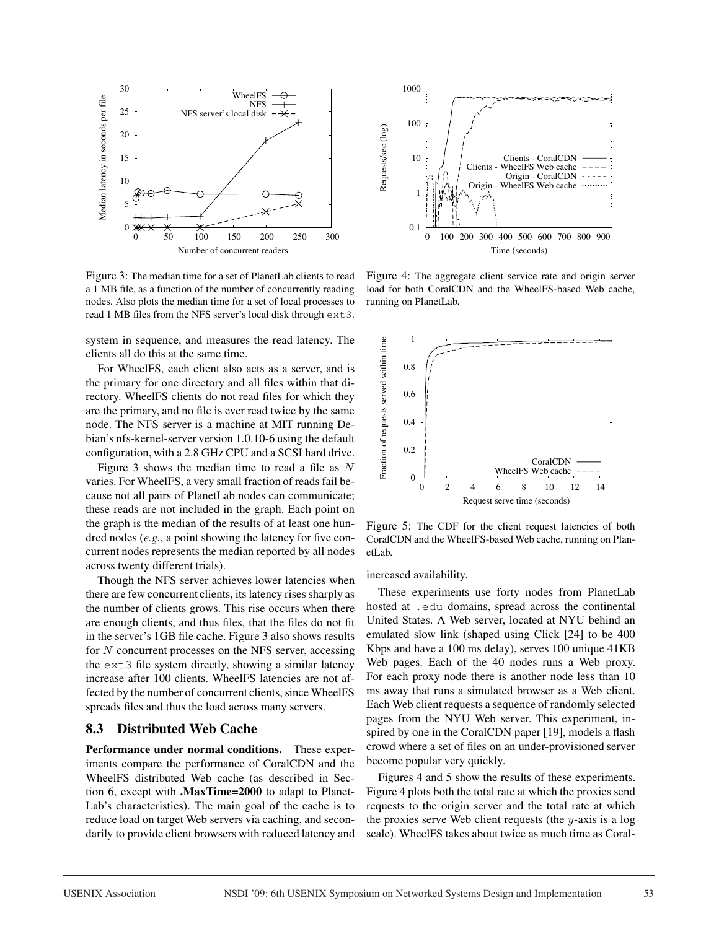

Figure 3: The median time for a set of PlanetLab clients to read a 1 MB file, as a function of the number of concurrently reading nodes. Also plots the median time for a set of local processes to read 1 MB files from the NFS server's local disk through ext3.

system in sequence, and measures the read latency. The clients all do this at the same time.

For WheelFS, each client also acts as a server, and is the primary for one directory and all files within that directory. WheelFS clients do not read files for which they are the primary, and no file is ever read twice by the same node. The NFS server is a machine at MIT running Debian's nfs-kernel-server version 1.0.10-6 using the default configuration, with a 2.8 GHz CPU and a SCSI hard drive.

Figure 3 shows the median time to read a file as  $N$ varies. For WheelFS, a very small fraction of reads fail because not all pairs of PlanetLab nodes can communicate; these reads are not included in the graph. Each point on the graph is the median of the results of at least one hundred nodes (*e.g.*, a point showing the latency for five concurrent nodes represents the median reported by all nodes across twenty different trials).

Though the NFS server achieves lower latencies when there are few concurrent clients, its latency rises sharply as the number of clients grows. This rise occurs when there are enough clients, and thus files, that the files do not fit in the server's 1GB file cache. Figure 3 also shows results for N concurrent processes on the NFS server, accessing the ext3 file system directly, showing a similar latency increase after 100 clients. WheelFS latencies are not affected by the number of concurrent clients, since WheelFS spreads files and thus the load across many servers.

#### 8.3 Distributed Web Cache

Performance under normal conditions. These experiments compare the performance of CoralCDN and the WheelFS distributed Web cache (as described in Section 6, except with .MaxTime=2000 to adapt to Planet-Lab's characteristics). The main goal of the cache is to reduce load on target Web servers via caching, and secondarily to provide client browsers with reduced latency and



Figure 4: The aggregate client service rate and origin server load for both CoralCDN and the WheelFS-based Web cache, running on PlanetLab.



Figure 5: The CDF for the client request latencies of both CoralCDN and the WheelFS-based Web cache, running on PlanetLab.

increased availability.

These experiments use forty nodes from PlanetLab hosted at .edu domains, spread across the continental United States. A Web server, located at NYU behind an emulated slow link (shaped using Click [24] to be 400 Kbps and have a 100 ms delay), serves 100 unique 41KB Web pages. Each of the 40 nodes runs a Web proxy. For each proxy node there is another node less than 10 ms away that runs a simulated browser as a Web client. Each Web client requests a sequence of randomly selected pages from the NYU Web server. This experiment, inspired by one in the CoralCDN paper [19], models a flash crowd where a set of files on an under-provisioned server become popular very quickly.

Figures 4 and 5 show the results of these experiments. Figure 4 plots both the total rate at which the proxies send requests to the origin server and the total rate at which the proxies serve Web client requests (the  $y$ -axis is a log scale). WheelFS takes about twice as much time as Coral-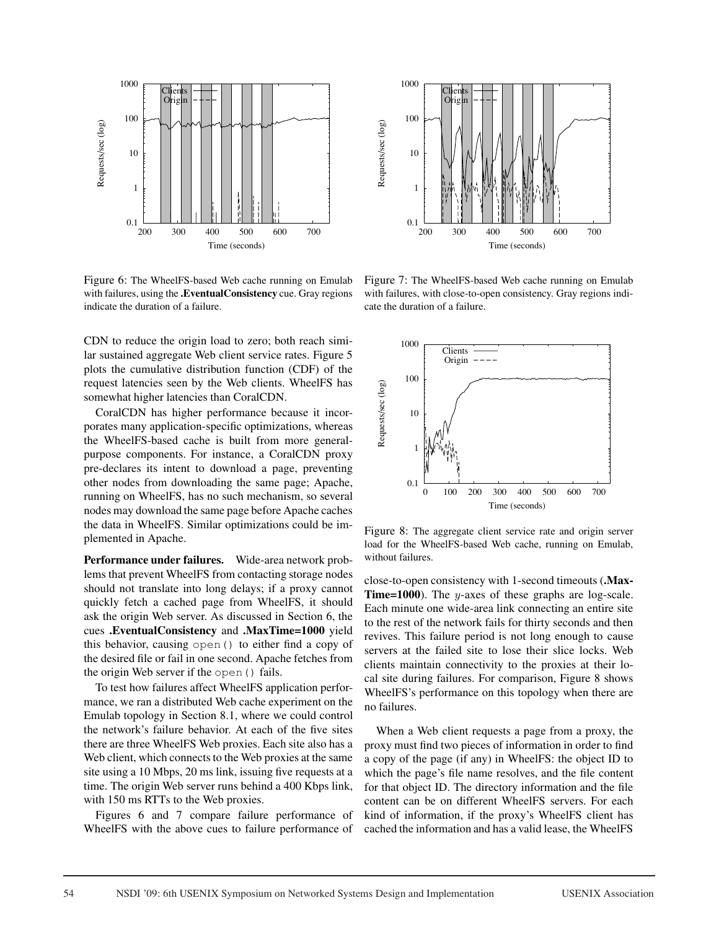

Figure 6: The WheelFS-based Web cache running on Emulab with failures, using the .EventualConsistency cue. Gray regions indicate the duration of a failure.

CDN to reduce the origin load to zero; both reach similar sustained aggregate Web client service rates. Figure 5 plots the cumulative distribution function (CDF) of the request latencies seen by the Web clients. WheelFS has somewhat higher latencies than CoralCDN.

CoralCDN has higher performance because it incorporates many application-specific optimizations, whereas the WheelFS-based cache is built from more generalpurpose components. For instance, a CoralCDN proxy pre-declares its intent to download a page, preventing other nodes from downloading the same page; Apache, running on WheelFS, has no such mechanism, so several nodes may download the same page before Apache caches the data in WheelFS. Similar optimizations could be implemented in Apache.

Performance under failures. Wide-area network problems that prevent WheelFS from contacting storage nodes should not translate into long delays; if a proxy cannot quickly fetch a cached page from WheelFS, it should ask the origin Web server. As discussed in Section 6, the cues .EventualConsistency and .MaxTime=1000 yield this behavior, causing open() to either find a copy of the desired file or fail in one second. Apache fetches from the origin Web server if the open() fails.

To test how failures affect WheelFS application performance, we ran a distributed Web cache experiment on the Emulab topology in Section 8.1, where we could control the network's failure behavior. At each of the five sites there are three WheelFS Web proxies. Each site also has a Web client, which connects to the Web proxies at the same site using a 10 Mbps, 20 ms link, issuing five requests at a time. The origin Web server runs behind a 400 Kbps link, with 150 ms RTTs to the Web proxies.

Figures 6 and 7 compare failure performance of WheelFS with the above cues to failure performance of



Figure 7: The WheelFS-based Web cache running on Emulab with failures, with close-to-open consistency. Gray regions indicate the duration of a failure.



Figure 8: The aggregate client service rate and origin server load for the WheelFS-based Web cache, running on Emulab, without failures.

close-to-open consistency with 1-second timeouts (.Max-**Time=1000**). The y-axes of these graphs are log-scale. Each minute one wide-area link connecting an entire site to the rest of the network fails for thirty seconds and then revives. This failure period is not long enough to cause servers at the failed site to lose their slice locks. Web clients maintain connectivity to the proxies at their local site during failures. For comparison, Figure 8 shows WheelFS's performance on this topology when there are no failures.

When a Web client requests a page from a proxy, the proxy must find two pieces of information in order to find a copy of the page (if any) in WheelFS: the object ID to which the page's file name resolves, and the file content for that object ID. The directory information and the file content can be on different WheelFS servers. For each kind of information, if the proxy's WheelFS client has cached the information and has a valid lease, the WheelFS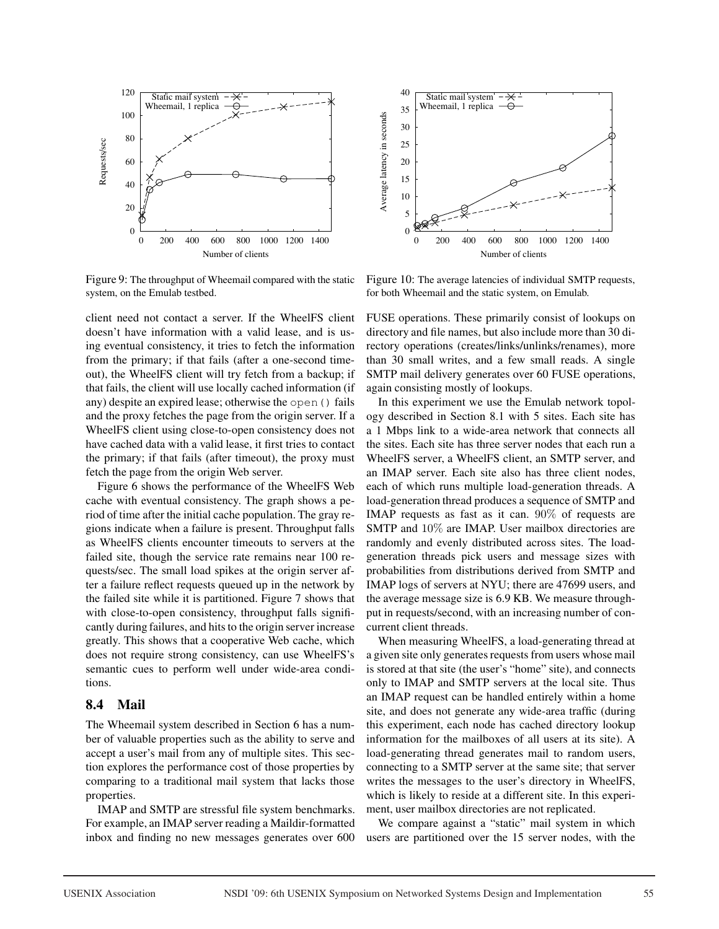



Figure 9: The throughput of Wheemail compared with the static system, on the Emulab testbed.

client need not contact a server. If the WheelFS client doesn't have information with a valid lease, and is using eventual consistency, it tries to fetch the information from the primary; if that fails (after a one-second timeout), the WheelFS client will try fetch from a backup; if that fails, the client will use locally cached information (if any) despite an expired lease; otherwise the open() fails and the proxy fetches the page from the origin server. If a WheelFS client using close-to-open consistency does not have cached data with a valid lease, it first tries to contact the primary; if that fails (after timeout), the proxy must fetch the page from the origin Web server.

Figure 6 shows the performance of the WheelFS Web cache with eventual consistency. The graph shows a period of time after the initial cache population. The gray regions indicate when a failure is present. Throughput falls as WheelFS clients encounter timeouts to servers at the failed site, though the service rate remains near 100 requests/sec. The small load spikes at the origin server after a failure reflect requests queued up in the network by the failed site while it is partitioned. Figure 7 shows that with close-to-open consistency, throughput falls significantly during failures, and hits to the origin server increase greatly. This shows that a cooperative Web cache, which does not require strong consistency, can use WheelFS's semantic cues to perform well under wide-area conditions.

#### 8.4 Mail

The Wheemail system described in Section 6 has a number of valuable properties such as the ability to serve and accept a user's mail from any of multiple sites. This section explores the performance cost of those properties by comparing to a traditional mail system that lacks those properties.

IMAP and SMTP are stressful file system benchmarks. For example, an IMAP server reading a Maildir-formatted inbox and finding no new messages generates over 600

Figure 10: The average latencies of individual SMTP requests, for both Wheemail and the static system, on Emulab.

FUSE operations. These primarily consist of lookups on directory and file names, but also include more than 30 directory operations (creates/links/unlinks/renames), more than 30 small writes, and a few small reads. A single SMTP mail delivery generates over 60 FUSE operations, again consisting mostly of lookups.

In this experiment we use the Emulab network topology described in Section 8.1 with 5 sites. Each site has a 1 Mbps link to a wide-area network that connects all the sites. Each site has three server nodes that each run a WheelFS server, a WheelFS client, an SMTP server, and an IMAP server. Each site also has three client nodes, each of which runs multiple load-generation threads. A load-generation thread produces a sequence of SMTP and IMAP requests as fast as it can. 90% of requests are SMTP and 10% are IMAP. User mailbox directories are randomly and evenly distributed across sites. The loadgeneration threads pick users and message sizes with probabilities from distributions derived from SMTP and IMAP logs of servers at NYU; there are 47699 users, and the average message size is 6.9 KB. We measure throughput in requests/second, with an increasing number of concurrent client threads.

When measuring WheelFS, a load-generating thread at a given site only generates requests from users whose mail is stored at that site (the user's "home" site), and connects only to IMAP and SMTP servers at the local site. Thus an IMAP request can be handled entirely within a home site, and does not generate any wide-area traffic (during this experiment, each node has cached directory lookup information for the mailboxes of all users at its site). A load-generating thread generates mail to random users, connecting to a SMTP server at the same site; that server writes the messages to the user's directory in WheelFS, which is likely to reside at a different site. In this experiment, user mailbox directories are not replicated.

We compare against a "static" mail system in which users are partitioned over the 15 server nodes, with the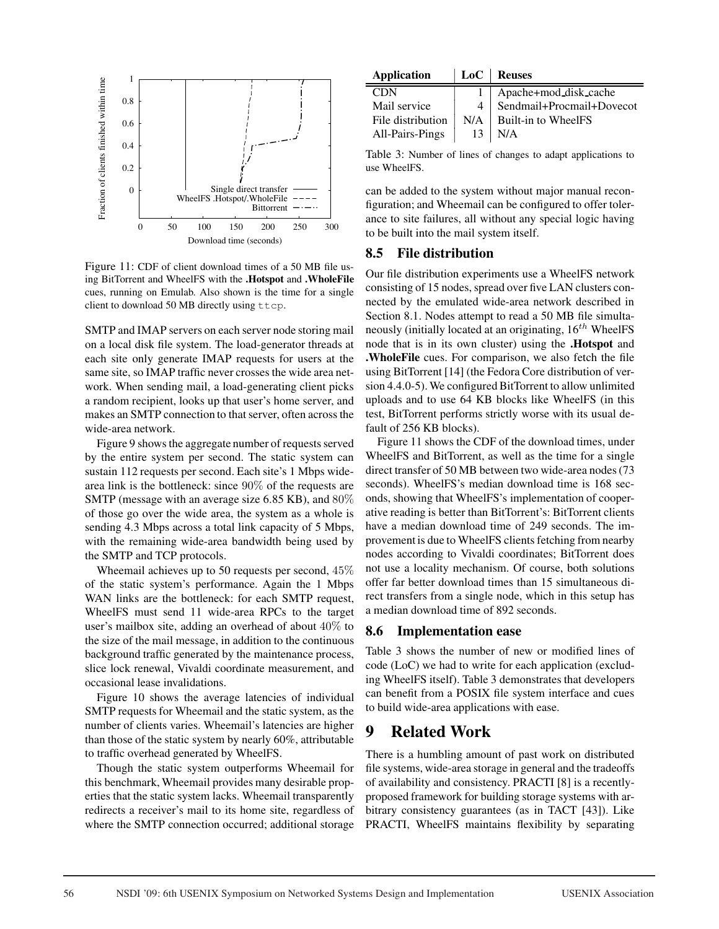

Figure 11: CDF of client download times of a 50 MB file using BitTorrent and WheelFS with the .Hotspot and .WholeFile cues, running on Emulab. Also shown is the time for a single client to download 50 MB directly using ttcp.

SMTP and IMAP servers on each server node storing mail on a local disk file system. The load-generator threads at each site only generate IMAP requests for users at the same site, so IMAP traffic never crosses the wide area network. When sending mail, a load-generating client picks a random recipient, looks up that user's home server, and makes an SMTP connection to that server, often across the wide-area network.

Figure 9 shows the aggregate number of requests served by the entire system per second. The static system can sustain 112 requests per second. Each site's 1 Mbps widearea link is the bottleneck: since 90% of the requests are SMTP (message with an average size 6.85 KB), and 80% of those go over the wide area, the system as a whole is sending 4.3 Mbps across a total link capacity of 5 Mbps, with the remaining wide-area bandwidth being used by the SMTP and TCP protocols.

Wheemail achieves up to 50 requests per second, 45% of the static system's performance. Again the 1 Mbps WAN links are the bottleneck: for each SMTP request, WheelFS must send 11 wide-area RPCs to the target user's mailbox site, adding an overhead of about 40% to the size of the mail message, in addition to the continuous background traffic generated by the maintenance process, slice lock renewal, Vivaldi coordinate measurement, and occasional lease invalidations.

Figure 10 shows the average latencies of individual SMTP requests for Wheemail and the static system, as the number of clients varies. Wheemail's latencies are higher than those of the static system by nearly 60%, attributable to traffic overhead generated by WheelFS.

Though the static system outperforms Wheemail for this benchmark, Wheemail provides many desirable properties that the static system lacks. Wheemail transparently redirects a receiver's mail to its home site, regardless of where the SMTP connection occurred; additional storage

| Application |  | LoC   Reuses |
|-------------|--|--------------|
|-------------|--|--------------|

|    | Apache+mod_disk_cache     |
|----|---------------------------|
|    | Sendmail+Procmail+Dovecot |
|    | $N/A$ Built-in to WheelFS |
| 13 | N/A                       |
|    |                           |

Table 3: Number of lines of changes to adapt applications to use WheelFS.

can be added to the system without major manual reconfiguration; and Wheemail can be configured to offer tolerance to site failures, all without any special logic having to be built into the mail system itself.

#### 8.5 File distribution

Our file distribution experiments use a WheelFS network consisting of 15 nodes, spread over five LAN clusters connected by the emulated wide-area network described in Section 8.1. Nodes attempt to read a 50 MB file simultaneously (initially located at an originating,  $16^{th}$  WheelFS node that is in its own cluster) using the .Hotspot and .WholeFile cues. For comparison, we also fetch the file using BitTorrent [14] (the Fedora Core distribution of version 4.4.0-5). We configured BitTorrent to allow unlimited uploads and to use 64 KB blocks like WheelFS (in this test, BitTorrent performs strictly worse with its usual default of 256 KB blocks).

Figure 11 shows the CDF of the download times, under WheelFS and BitTorrent, as well as the time for a single direct transfer of 50 MB between two wide-area nodes (73 seconds). WheelFS's median download time is 168 seconds, showing that WheelFS's implementation of cooperative reading is better than BitTorrent's: BitTorrent clients have a median download time of 249 seconds. The improvement is due to WheelFS clients fetching from nearby nodes according to Vivaldi coordinates; BitTorrent does not use a locality mechanism. Of course, both solutions offer far better download times than 15 simultaneous direct transfers from a single node, which in this setup has a median download time of 892 seconds.

#### 8.6 Implementation ease

Table 3 shows the number of new or modified lines of code (LoC) we had to write for each application (excluding WheelFS itself). Table 3 demonstrates that developers can benefit from a POSIX file system interface and cues to build wide-area applications with ease.

## 9 Related Work

There is a humbling amount of past work on distributed file systems, wide-area storage in general and the tradeoffs of availability and consistency. PRACTI [8] is a recentlyproposed framework for building storage systems with arbitrary consistency guarantees (as in TACT [43]). Like PRACTI, WheelFS maintains flexibility by separating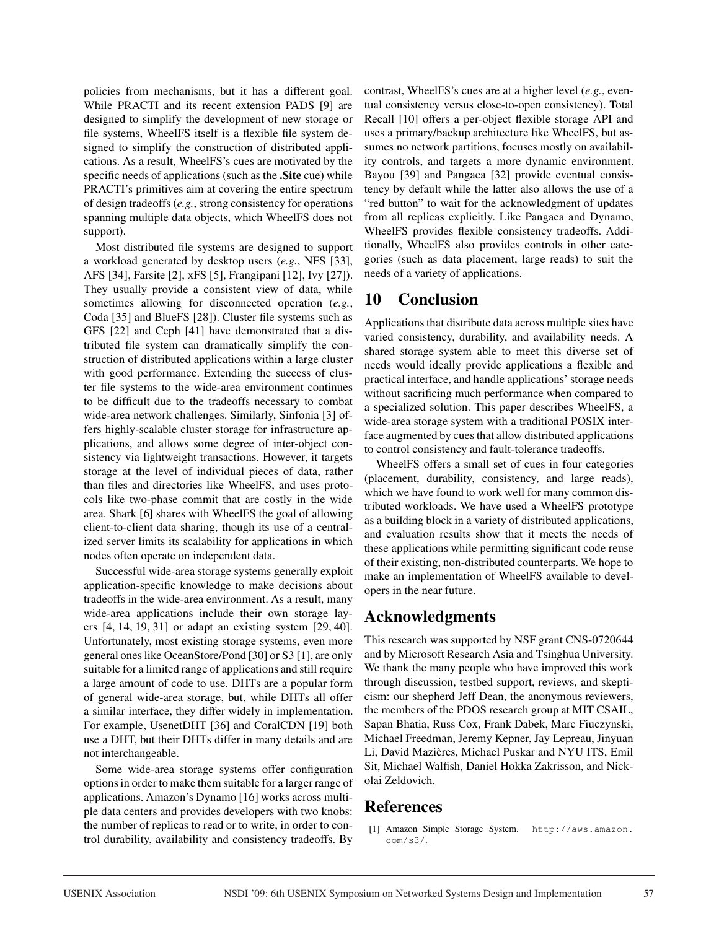policies from mechanisms, but it has a different goal. While PRACTI and its recent extension PADS [9] are designed to simplify the development of new storage or file systems, WheelFS itself is a flexible file system designed to simplify the construction of distributed applications. As a result, WheelFS's cues are motivated by the specific needs of applications (such as the **Site** cue) while PRACTI's primitives aim at covering the entire spectrum of design tradeoffs (*e.g.*, strong consistency for operations spanning multiple data objects, which WheelFS does not support).

Most distributed file systems are designed to support a workload generated by desktop users (*e.g.*, NFS [33], AFS [34], Farsite [2], xFS [5], Frangipani [12], Ivy [27]). They usually provide a consistent view of data, while sometimes allowing for disconnected operation (*e.g.*, Coda [35] and BlueFS [28]). Cluster file systems such as GFS [22] and Ceph [41] have demonstrated that a distributed file system can dramatically simplify the construction of distributed applications within a large cluster with good performance. Extending the success of cluster file systems to the wide-area environment continues to be difficult due to the tradeoffs necessary to combat wide-area network challenges. Similarly, Sinfonia [3] offers highly-scalable cluster storage for infrastructure applications, and allows some degree of inter-object consistency via lightweight transactions. However, it targets storage at the level of individual pieces of data, rather than files and directories like WheelFS, and uses protocols like two-phase commit that are costly in the wide area. Shark [6] shares with WheelFS the goal of allowing client-to-client data sharing, though its use of a centralized server limits its scalability for applications in which nodes often operate on independent data.

Successful wide-area storage systems generally exploit application-specific knowledge to make decisions about tradeoffs in the wide-area environment. As a result, many wide-area applications include their own storage layers [4, 14, 19, 31] or adapt an existing system [29, 40]. Unfortunately, most existing storage systems, even more general ones like OceanStore/Pond [30] or S3 [1], are only suitable for a limited range of applications and still require a large amount of code to use. DHTs are a popular form of general wide-area storage, but, while DHTs all offer a similar interface, they differ widely in implementation. For example, UsenetDHT [36] and CoralCDN [19] both use a DHT, but their DHTs differ in many details and are not interchangeable.

Some wide-area storage systems offer configuration options in order to make them suitable for a larger range of applications. Amazon's Dynamo [16] works across multiple data centers and provides developers with two knobs: the number of replicas to read or to write, in order to control durability, availability and consistency tradeoffs. By

contrast, WheelFS's cues are at a higher level (*e.g.*, eventual consistency versus close-to-open consistency). Total Recall [10] offers a per-object flexible storage API and uses a primary/backup architecture like WheelFS, but assumes no network partitions, focuses mostly on availability controls, and targets a more dynamic environment. Bayou [39] and Pangaea [32] provide eventual consistency by default while the latter also allows the use of a "red button" to wait for the acknowledgment of updates from all replicas explicitly. Like Pangaea and Dynamo, WheelFS provides flexible consistency tradeoffs. Additionally, WheelFS also provides controls in other categories (such as data placement, large reads) to suit the needs of a variety of applications.

# 10 Conclusion

Applications that distribute data across multiple sites have varied consistency, durability, and availability needs. A shared storage system able to meet this diverse set of needs would ideally provide applications a flexible and practical interface, and handle applications' storage needs without sacrificing much performance when compared to a specialized solution. This paper describes WheelFS, a wide-area storage system with a traditional POSIX interface augmented by cues that allow distributed applications to control consistency and fault-tolerance tradeoffs.

WheelFS offers a small set of cues in four categories (placement, durability, consistency, and large reads), which we have found to work well for many common distributed workloads. We have used a WheelFS prototype as a building block in a variety of distributed applications, and evaluation results show that it meets the needs of these applications while permitting significant code reuse of their existing, non-distributed counterparts. We hope to make an implementation of WheelFS available to developers in the near future.

# Acknowledgments

This research was supported by NSF grant CNS-0720644 and by Microsoft Research Asia and Tsinghua University. We thank the many people who have improved this work through discussion, testbed support, reviews, and skepticism: our shepherd Jeff Dean, the anonymous reviewers, the members of the PDOS research group at MIT CSAIL, Sapan Bhatia, Russ Cox, Frank Dabek, Marc Fiuczynski, Michael Freedman, Jeremy Kepner, Jay Lepreau, Jinyuan Li, David Mazières, Michael Puskar and NYU ITS, Emil Sit, Michael Walfish, Daniel Hokka Zakrisson, and Nickolai Zeldovich.

# References

[1] Amazon Simple Storage System. http://aws.amazon. com/s3/.